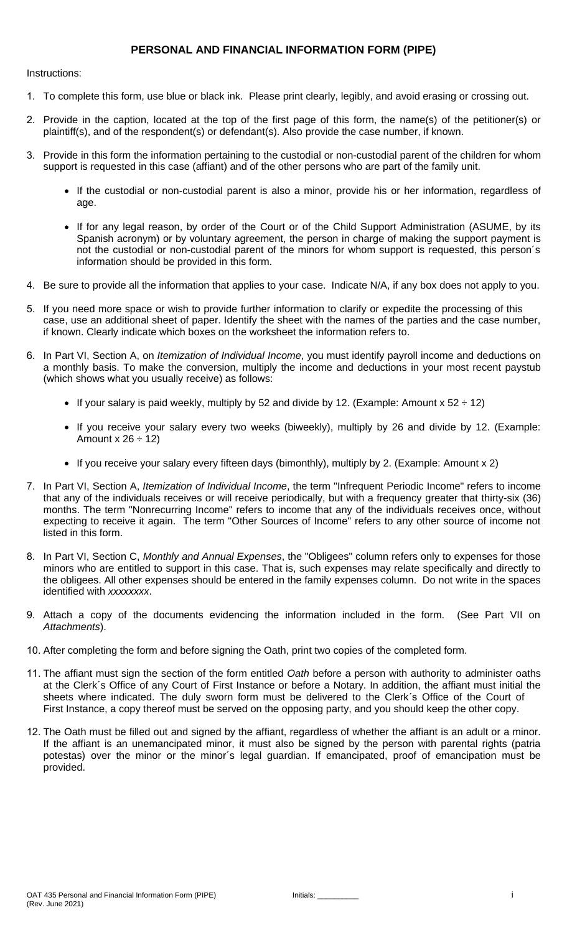### **PERSONAL AND FINANCIAL INFORMATION FORM (PIPE)**

Instructions:

- 1. To complete this form, use blue or black ink. Please print clearly, legibly, and avoid erasing or crossing out.
- 2. Provide in the caption, located at the top of the first page of this form, the name(s) of the petitioner(s) or plaintiff(s), and of the respondent(s) or defendant(s). Also provide the case number, if known.
- 3. Provide in this form the information pertaining to the custodial or non-custodial parent of the children for whom support is requested in this case (affiant) and of the other persons who are part of the family unit.
	- If the custodial or non-custodial parent is also a minor, provide his or her information, regardless of age.
	- If for any legal reason, by order of the Court or of the Child Support Administration (ASUME, by its Spanish acronym) or by voluntary agreement, the person in charge of making the support payment is not the custodial or non-custodial parent of the minors for whom support is requested, this person´s information should be provided in this form.
- 4. Be sure to provide all the information that applies to your case. Indicate N/A, if any box does not apply to you.
- 5. If you need more space or wish to provide further information to clarify or expedite the processing of this case, use an additional sheet of paper. Identify the sheet with the names of the parties and the case number, if known. Clearly indicate which boxes on the worksheet the information refers to.
- 6. In Part VI, Section A, on *Itemization of Individual Income*, you must identify payroll income and deductions on a monthly basis. To make the conversion, multiply the income and deductions in your most recent paystub (which shows what you usually receive) as follows:
	- If your salary is paid weekly, multiply by 52 and divide by 12. (Example: Amount x 52  $\div$  12)
	- If you receive your salary every two weeks (biweekly), multiply by 26 and divide by 12. (Example: Amount x  $26 \div 12$
	- If you receive your salary every fifteen days (bimonthly), multiply by 2. (Example: Amount x 2)
- 7. In Part VI, Section A, *Itemization of Individual Income*, the term "Infrequent Periodic Income" refers to income that any of the individuals receives or will receive periodically, but with a frequency greater that thirty-six (36) months. The term "Nonrecurring Income" refers to income that any of the individuals receives once, without expecting to receive it again. The term "Other Sources of Income" refers to any other source of income not listed in this form.
- 8. In Part VI, Section C, *Monthly and Annual Expenses*, the "Obligees" column refers only to expenses for those minors who are entitled to support in this case. That is, such expenses may relate specifically and directly to the obligees. All other expenses should be entered in the family expenses column. Do not write in the spaces identified with *xxxxxxxx*.
- 9. Attach a copy of the documents evidencing the information included in the form. (See Part VII on *Attachments*).
- 10. After completing the form and before signing the Oath, print two copies of the completed form.
- 11. The affiant must sign the section of the form entitled *Oath* before a person with authority to administer oaths at the Clerk´s Office of any Court of First Instance or before a Notary. In addition, the affiant must initial the sheets where indicated. The duly sworn form must be delivered to the Clerk´s Office of the Court of First Instance, a copy thereof must be served on the opposing party, and you should keep the other copy.
- 12. The Oath must be filled out and signed by the affiant, regardless of whether the affiant is an adult or a minor. If the affiant is an unemancipated minor, it must also be signed by the person with parental rights (patria potestas) over the minor or the minor´s legal guardian. If emancipated, proof of emancipation must be provided.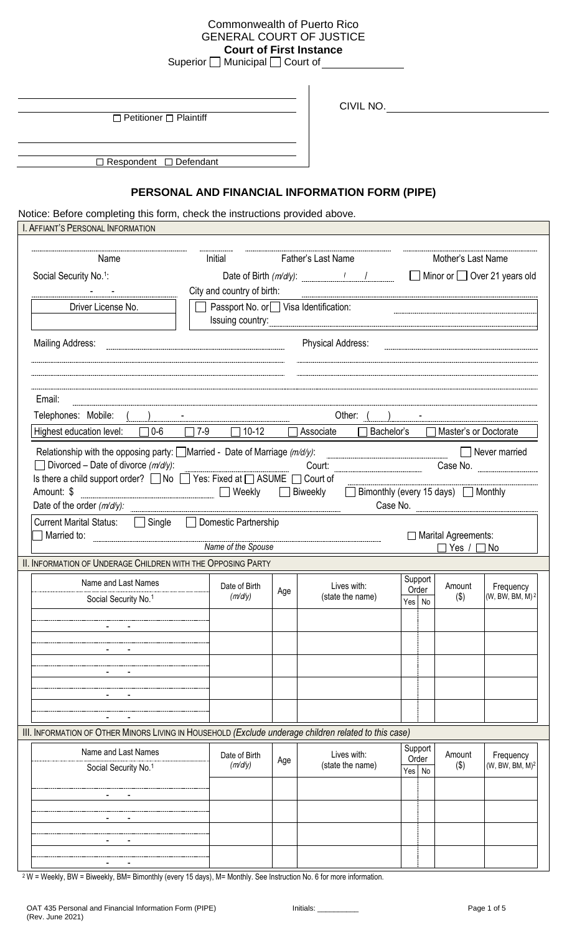## Commonwealth of Puerto Rico GENERAL COURT OF JUSTICE **Court of First Instance**

Superior  $\Box$  Municipal  $\Box$  Court of

 $\Box$  Petitioner  $\Box$  Plaintiff

CIVIL NO.

□ Respondent □ Defendant

# **PERSONAL AND FINANCIAL INFORMATION FORM (PIPE)**

Notice: Before completing this form, check the instructions provided above.

| I. AFFIANT'S PERSONAL INFORMATION                                                                                                                                                                                                                        |                                                                                                    |     |                                                 |                            |                                    |                                          |  |
|----------------------------------------------------------------------------------------------------------------------------------------------------------------------------------------------------------------------------------------------------------|----------------------------------------------------------------------------------------------------|-----|-------------------------------------------------|----------------------------|------------------------------------|------------------------------------------|--|
| Name                                                                                                                                                                                                                                                     | Initial                                                                                            |     | Father's Last Name                              |                            | Mother's Last Name                 |                                          |  |
| Social Security No. <sup>1</sup> :                                                                                                                                                                                                                       |                                                                                                    |     |                                                 |                            |                                    |                                          |  |
|                                                                                                                                                                                                                                                          | Date of Birth $(m/dy)$ : $\frac{1}{1}$<br>Minor or Over 21 years old<br>City and country of birth: |     |                                                 |                            |                                    |                                          |  |
| Driver License No.                                                                                                                                                                                                                                       | Passport No. or Visa Identification:                                                               |     |                                                 |                            |                                    |                                          |  |
|                                                                                                                                                                                                                                                          | Issuing country:                                                                                   |     |                                                 |                            |                                    |                                          |  |
| <b>Mailing Address:</b>                                                                                                                                                                                                                                  |                                                                                                    |     | <b>Physical Address:</b>                        |                            |                                    |                                          |  |
| Email:                                                                                                                                                                                                                                                   |                                                                                                    |     |                                                 |                            |                                    |                                          |  |
| Telephones: Mobile:                                                                                                                                                                                                                                      |                                                                                                    |     | Other: $($ )                                    |                            |                                    |                                          |  |
| Highest education level:<br>$\Box$ 0-6                                                                                                                                                                                                                   | $\Box$ 7-9<br>$\Box$ 10-12                                                                         |     | $\Box$ Associate<br>Bachelor's                  |                            | Master's or Doctorate              |                                          |  |
| Relationship with the opposing party: $\Box$ Married - Date of Marriage ( $m/d/y$ ):<br>Divorced – Date of divorce $(m/d/y)$ :<br>Is there a child support order? a No a Yes: Fixed at a ASUME a Court of<br>Amount: \$<br>Date of the order $(m/d/y)$ : | ■ Weekly ■ Biweekly                                                                                |     | Court:<br>□ Bimonthly (every 15 days) □ Monthly |                            | Case No.                           | $\Box$ Never married<br>Case No.         |  |
| <b>Current Marital Status:</b><br>$\Box$ Single<br>Married to:                                                                                                                                                                                           | Domestic Partnership<br>$\mathcal{L}$<br>Name of the Spouse                                        |     |                                                 |                            | Marital Agreements:<br>]Yes / □ No |                                          |  |
| II. INFORMATION OF UNDERAGE CHILDREN WITH THE OPPOSING PARTY                                                                                                                                                                                             |                                                                                                    |     |                                                 |                            |                                    |                                          |  |
| Name and Last Names<br>Social Security No. <sup>1</sup>                                                                                                                                                                                                  | Date of Birth<br>(m/d/y)                                                                           | Age | Lives with:<br>(state the name)                 | Support<br>Order<br>Yes No | Amount<br>$($ \$)                  | Frequency<br>(W, BW, BM, M) <sup>2</sup> |  |
|                                                                                                                                                                                                                                                          |                                                                                                    |     |                                                 |                            |                                    |                                          |  |
|                                                                                                                                                                                                                                                          |                                                                                                    |     |                                                 |                            |                                    |                                          |  |
|                                                                                                                                                                                                                                                          |                                                                                                    |     |                                                 |                            |                                    |                                          |  |
|                                                                                                                                                                                                                                                          |                                                                                                    |     |                                                 |                            |                                    |                                          |  |
|                                                                                                                                                                                                                                                          |                                                                                                    |     |                                                 |                            |                                    |                                          |  |
|                                                                                                                                                                                                                                                          |                                                                                                    |     |                                                 |                            |                                    |                                          |  |
| III. INFORMATION OF OTHER MINORS LIVING IN HOUSEHOLD (Exclude underage children related to this case)                                                                                                                                                    |                                                                                                    |     |                                                 |                            |                                    |                                          |  |
| Name and Last Names                                                                                                                                                                                                                                      |                                                                                                    |     |                                                 | Support                    |                                    |                                          |  |
| Social Security No. <sup>1</sup>                                                                                                                                                                                                                         | Date of Birth<br>(m/d/y)                                                                           | Age | Lives with:<br>(state the name)                 | Order<br>Yes No            | Amount<br>$(\$)$                   | Frequency<br>(W, BW, BM, M) <sup>2</sup> |  |
|                                                                                                                                                                                                                                                          |                                                                                                    |     |                                                 |                            |                                    |                                          |  |
|                                                                                                                                                                                                                                                          |                                                                                                    |     |                                                 |                            |                                    |                                          |  |
|                                                                                                                                                                                                                                                          |                                                                                                    |     |                                                 |                            |                                    |                                          |  |
|                                                                                                                                                                                                                                                          |                                                                                                    |     |                                                 |                            |                                    |                                          |  |
|                                                                                                                                                                                                                                                          |                                                                                                    |     |                                                 |                            |                                    |                                          |  |
|                                                                                                                                                                                                                                                          |                                                                                                    |     |                                                 |                            |                                    |                                          |  |

<sup>2</sup> W = Weekly, BW = Biweekly, BM= Bimonthly (every 15 days), M= Monthly. See Instruction No. 6 for more information.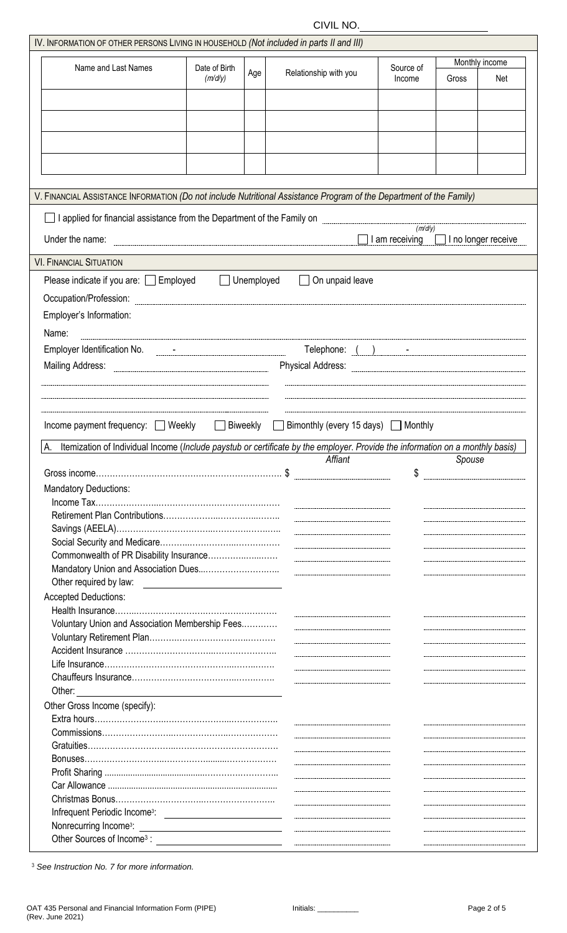CIVIL NO.

| IV. INFORMATION OF OTHER PERSONS LIVING IN HOUSEHOLD (Not included in parts II and III)                                                                                           |               |                   |                                                                                                                                                                                                                                                                                                                                                                                                                                      |                |                            |                |
|-----------------------------------------------------------------------------------------------------------------------------------------------------------------------------------|---------------|-------------------|--------------------------------------------------------------------------------------------------------------------------------------------------------------------------------------------------------------------------------------------------------------------------------------------------------------------------------------------------------------------------------------------------------------------------------------|----------------|----------------------------|----------------|
|                                                                                                                                                                                   |               |                   |                                                                                                                                                                                                                                                                                                                                                                                                                                      |                |                            | Monthly income |
| Name and Last Names                                                                                                                                                               | Date of Birth | Age               | Relationship with you                                                                                                                                                                                                                                                                                                                                                                                                                | Source of      |                            |                |
|                                                                                                                                                                                   | (m/d/y)       |                   |                                                                                                                                                                                                                                                                                                                                                                                                                                      | Income         | Gross                      | Net            |
|                                                                                                                                                                                   |               |                   |                                                                                                                                                                                                                                                                                                                                                                                                                                      |                |                            |                |
|                                                                                                                                                                                   |               |                   |                                                                                                                                                                                                                                                                                                                                                                                                                                      |                |                            |                |
|                                                                                                                                                                                   |               |                   |                                                                                                                                                                                                                                                                                                                                                                                                                                      |                |                            |                |
|                                                                                                                                                                                   |               |                   |                                                                                                                                                                                                                                                                                                                                                                                                                                      |                |                            |                |
|                                                                                                                                                                                   |               |                   |                                                                                                                                                                                                                                                                                                                                                                                                                                      |                |                            |                |
|                                                                                                                                                                                   |               |                   |                                                                                                                                                                                                                                                                                                                                                                                                                                      |                |                            |                |
|                                                                                                                                                                                   |               |                   |                                                                                                                                                                                                                                                                                                                                                                                                                                      |                |                            |                |
| V. FINANCIAL ASSISTANCE INFORMATION (Do not include Nutritional Assistance Program of the Department of the Family)                                                               |               |                   |                                                                                                                                                                                                                                                                                                                                                                                                                                      |                |                            |                |
| I applied for financial assistance from the Department of the Family on                                                                                                           |               |                   |                                                                                                                                                                                                                                                                                                                                                                                                                                      |                |                            |                |
|                                                                                                                                                                                   |               |                   |                                                                                                                                                                                                                                                                                                                                                                                                                                      | (m/d/y)        |                            |                |
| Under the name:                                                                                                                                                                   |               |                   |                                                                                                                                                                                                                                                                                                                                                                                                                                      | I am receiving | $\Box$ I no longer receive |                |
| <b>VI. FINANCIAL SITUATION</b>                                                                                                                                                    |               |                   |                                                                                                                                                                                                                                                                                                                                                                                                                                      |                |                            |                |
|                                                                                                                                                                                   |               |                   |                                                                                                                                                                                                                                                                                                                                                                                                                                      |                |                            |                |
| Please indicate if you are: [ Fmployed                                                                                                                                            |               | $\Box$ Unemployed | On unpaid leave                                                                                                                                                                                                                                                                                                                                                                                                                      |                |                            |                |
| Occupation/Profession:                                                                                                                                                            |               |                   |                                                                                                                                                                                                                                                                                                                                                                                                                                      |                |                            |                |
| Employer's Information:                                                                                                                                                           |               |                   |                                                                                                                                                                                                                                                                                                                                                                                                                                      |                |                            |                |
| Name:                                                                                                                                                                             |               |                   |                                                                                                                                                                                                                                                                                                                                                                                                                                      |                |                            |                |
|                                                                                                                                                                                   |               |                   |                                                                                                                                                                                                                                                                                                                                                                                                                                      |                |                            |                |
|                                                                                                                                                                                   |               |                   |                                                                                                                                                                                                                                                                                                                                                                                                                                      |                |                            |                |
|                                                                                                                                                                                   |               |                   |                                                                                                                                                                                                                                                                                                                                                                                                                                      |                |                            |                |
| Income payment frequency:<br>$\Box$ Weekly<br>Itemization of Individual Income (Include paystub or certificate by the employer. Provide the information on a monthly basis)<br>А. |               | <b>Biweekly</b>   | Bimonthly (every 15 days) $\Box$ Monthly                                                                                                                                                                                                                                                                                                                                                                                             |                |                            |                |
|                                                                                                                                                                                   |               |                   | Affiant                                                                                                                                                                                                                                                                                                                                                                                                                              |                | Spouse                     |                |
|                                                                                                                                                                                   |               |                   |                                                                                                                                                                                                                                                                                                                                                                                                                                      | \$             |                            |                |
| <b>Mandatory Deductions:</b>                                                                                                                                                      |               |                   |                                                                                                                                                                                                                                                                                                                                                                                                                                      |                |                            |                |
|                                                                                                                                                                                   |               |                   |                                                                                                                                                                                                                                                                                                                                                                                                                                      |                |                            |                |
|                                                                                                                                                                                   |               |                   |                                                                                                                                                                                                                                                                                                                                                                                                                                      |                |                            |                |
|                                                                                                                                                                                   |               |                   |                                                                                                                                                                                                                                                                                                                                                                                                                                      |                |                            |                |
|                                                                                                                                                                                   |               |                   |                                                                                                                                                                                                                                                                                                                                                                                                                                      |                |                            |                |
|                                                                                                                                                                                   |               |                   |                                                                                                                                                                                                                                                                                                                                                                                                                                      |                |                            |                |
|                                                                                                                                                                                   |               |                   | $\begin{minipage}{0.5\textwidth} \begin{tabular}{ c c c } \hline \multicolumn{1}{ c }{p} & \multicolumn{1}{ c }{p} & \multicolumn{1}{ c }{p} & \multicolumn{1}{ c }{p} & \multicolumn{1}{ c }{p} & \multicolumn{1}{ c }{p} & \multicolumn{1}{ c }{p} & \multicolumn{1}{ c }{p} & \multicolumn{1}{ c }{p} & \multicolumn{1}{ c }{p} & \multicolumn{1}{ c }{p} & \multicolumn{1}{ c }{p} & \multicolumn{1}{ c }{p} & \multicolumn{1}{$ |                |                            |                |
|                                                                                                                                                                                   |               |                   |                                                                                                                                                                                                                                                                                                                                                                                                                                      |                |                            |                |
| <b>Accepted Deductions:</b>                                                                                                                                                       |               |                   |                                                                                                                                                                                                                                                                                                                                                                                                                                      |                |                            |                |
|                                                                                                                                                                                   |               |                   |                                                                                                                                                                                                                                                                                                                                                                                                                                      |                |                            |                |
| Voluntary Union and Association Membership Fees                                                                                                                                   |               |                   |                                                                                                                                                                                                                                                                                                                                                                                                                                      |                |                            |                |
|                                                                                                                                                                                   |               |                   |                                                                                                                                                                                                                                                                                                                                                                                                                                      |                |                            |                |
|                                                                                                                                                                                   |               |                   |                                                                                                                                                                                                                                                                                                                                                                                                                                      |                |                            |                |
|                                                                                                                                                                                   |               |                   |                                                                                                                                                                                                                                                                                                                                                                                                                                      |                |                            |                |
|                                                                                                                                                                                   |               |                   |                                                                                                                                                                                                                                                                                                                                                                                                                                      |                |                            |                |
| Other:<br><u> 1980 - Jan Stein Stein Stein Stein Stein Stein Stein Stein Stein Stein Stein Stein Stein Stein Stein Stein S</u>                                                    |               |                   |                                                                                                                                                                                                                                                                                                                                                                                                                                      |                |                            |                |
| Other Gross Income (specify):                                                                                                                                                     |               |                   |                                                                                                                                                                                                                                                                                                                                                                                                                                      |                |                            |                |
|                                                                                                                                                                                   |               |                   |                                                                                                                                                                                                                                                                                                                                                                                                                                      |                |                            |                |
|                                                                                                                                                                                   |               |                   |                                                                                                                                                                                                                                                                                                                                                                                                                                      |                |                            |                |
|                                                                                                                                                                                   |               |                   |                                                                                                                                                                                                                                                                                                                                                                                                                                      |                |                            |                |
|                                                                                                                                                                                   |               |                   |                                                                                                                                                                                                                                                                                                                                                                                                                                      |                |                            |                |
|                                                                                                                                                                                   |               |                   |                                                                                                                                                                                                                                                                                                                                                                                                                                      |                |                            |                |
|                                                                                                                                                                                   |               |                   |                                                                                                                                                                                                                                                                                                                                                                                                                                      |                |                            |                |
|                                                                                                                                                                                   |               |                   |                                                                                                                                                                                                                                                                                                                                                                                                                                      |                |                            |                |
|                                                                                                                                                                                   |               |                   |                                                                                                                                                                                                                                                                                                                                                                                                                                      |                |                            |                |
| Infrequent Periodic Income <sup>3</sup> : <u>___________________________</u><br>Nonrecurring Income <sup>3</sup> :                                                                |               |                   |                                                                                                                                                                                                                                                                                                                                                                                                                                      |                |                            |                |

<sup>3</sup> *See Instruction No. 7 for more information.*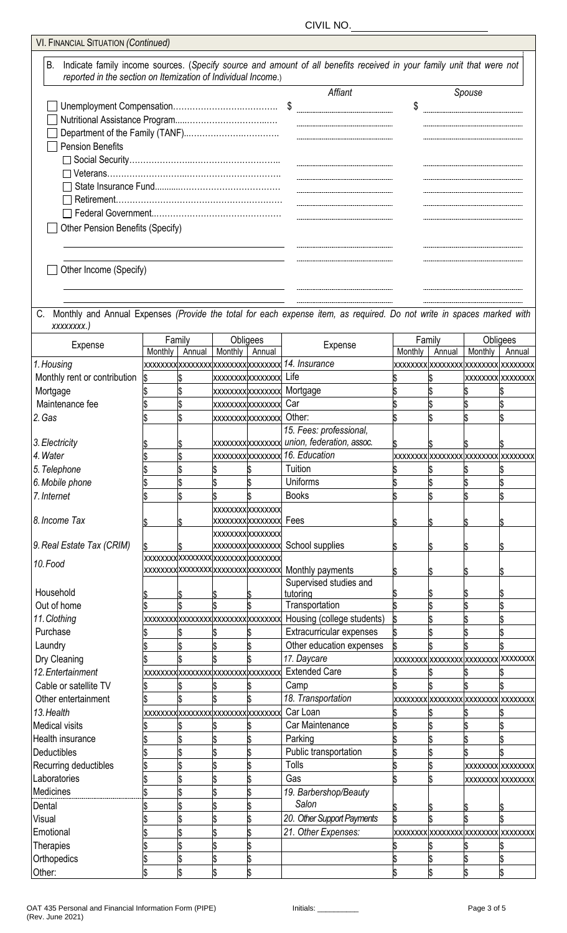| <b>VI. FINANCIAL SITUATION (Continued)</b>                          |                   |        |         |                                     |                                                                                                                       |         |                                    |                          |        |
|---------------------------------------------------------------------|-------------------|--------|---------|-------------------------------------|-----------------------------------------------------------------------------------------------------------------------|---------|------------------------------------|--------------------------|--------|
| В.<br>reported in the section on Itemization of Individual Income.) |                   |        |         |                                     | Indicate family income sources. (Specify source and amount of all benefits received in your family unit that were not |         |                                    |                          |        |
|                                                                     |                   |        |         |                                     | Affiant                                                                                                               |         |                                    | Spouse                   |        |
|                                                                     |                   |        |         |                                     |                                                                                                                       | \$      |                                    |                          |        |
|                                                                     |                   |        |         |                                     |                                                                                                                       |         |                                    |                          |        |
|                                                                     |                   |        |         |                                     |                                                                                                                       |         |                                    |                          |        |
| <b>Pension Benefits</b>                                             |                   |        |         |                                     |                                                                                                                       |         |                                    |                          |        |
|                                                                     |                   |        |         |                                     |                                                                                                                       |         |                                    |                          |        |
|                                                                     |                   |        |         |                                     |                                                                                                                       |         |                                    |                          |        |
|                                                                     |                   |        |         |                                     |                                                                                                                       |         |                                    |                          |        |
|                                                                     |                   |        |         |                                     |                                                                                                                       |         |                                    |                          |        |
|                                                                     |                   |        |         |                                     |                                                                                                                       |         |                                    |                          |        |
|                                                                     |                   |        |         |                                     |                                                                                                                       |         |                                    |                          |        |
| Other Pension Benefits (Specify)                                    |                   |        |         |                                     |                                                                                                                       |         |                                    |                          |        |
|                                                                     |                   |        |         |                                     |                                                                                                                       |         |                                    |                          |        |
| Other Income (Specify)                                              |                   |        |         |                                     |                                                                                                                       |         |                                    |                          |        |
|                                                                     |                   |        |         |                                     |                                                                                                                       |         |                                    |                          |        |
| xxxxxxxx.)                                                          |                   |        |         |                                     | Monthly and Annual Expenses (Provide the total for each expense item, as required. Do not write in spaces marked with |         |                                    |                          |        |
| Expense                                                             | Family<br>Monthly | Annual |         | Obligees<br>Annual                  | Expense                                                                                                               |         | Family<br>Annual                   | Obligees                 |        |
| 1. Housing                                                          |                   |        | Monthly | xxxxxxx xxxxxxxx xxxxxxxx xxxxxxxx  | 14. Insurance                                                                                                         | Monthly | xxxxxxx xxxxxxxx xxxxxxxx xxxxxxx  | Monthly                  | Annual |
|                                                                     |                   |        |         |                                     | Life                                                                                                                  |         |                                    |                          |        |
| Monthly rent or contribution                                        | \$                |        |         | xxxxxxxxxxxxxxx                     |                                                                                                                       |         |                                    | <b>XXXXXXXX XXXXXXXX</b> |        |
| Mortgage                                                            |                   |        |         | xxxxxxxxxxxxxxx                     | Mortgage                                                                                                              |         |                                    |                          |        |
| Maintenance fee                                                     |                   |        |         | xxxxxxxxxxxxxxx                     | Car                                                                                                                   |         |                                    |                          |        |
| 2. Gas                                                              |                   |        |         | xxxxxxxxxxxxxxx                     | Other:                                                                                                                |         |                                    |                          |        |
|                                                                     |                   |        |         |                                     | 15. Fees: professional,                                                                                               |         |                                    |                          |        |
| 3. Electricity                                                      |                   |        |         |                                     |                                                                                                                       |         |                                    |                          |        |
| 4. Water                                                            |                   |        |         |                                     |                                                                                                                       |         | xxxxxxx xxxxxxxx xxxxxxxx xxxxxxxx |                          |        |
| 5. Telephone                                                        |                   |        |         |                                     | Tuition                                                                                                               |         |                                    |                          |        |
| 6. Mobile phone                                                     |                   |        |         |                                     | <b>Uniforms</b>                                                                                                       |         |                                    |                          |        |
| 7. Internet                                                         |                   |        |         |                                     | <b>Books</b>                                                                                                          |         |                                    |                          |        |
|                                                                     |                   |        |         | xxxxxxxxxxxxxx                      |                                                                                                                       |         |                                    |                          |        |
| 8. Income Tax                                                       |                   |        |         | xxxxxxxxxxxxxxx                     | Fees                                                                                                                  |         |                                    |                          |        |
|                                                                     |                   |        |         | xxxxxxxxxxxxxx                      |                                                                                                                       |         |                                    |                          |        |
| 9. Real Estate Tax (CRIM)                                           |                   |        |         | xxxxxxxxxxxxxxx                     | School supplies                                                                                                       |         |                                    |                          |        |
| 10.Food                                                             |                   |        |         | xxxxxxx xxxxxxxx xxxxxxxx xxxxxxxx  |                                                                                                                       |         |                                    |                          |        |
|                                                                     |                   |        |         | xxxxxxx xxxxxxxx xxxxxxxx xxxxxxxx  | Monthly payments                                                                                                      |         |                                    |                          |        |
|                                                                     |                   |        |         |                                     | Supervised studies and                                                                                                |         |                                    |                          |        |
| Household                                                           |                   |        |         |                                     | tutoring                                                                                                              |         |                                    |                          |        |
| Out of home                                                         |                   |        |         |                                     | Transportation                                                                                                        |         |                                    |                          |        |
| 11. Clothing                                                        |                   |        |         | xxxxxxxx xxxxxxxx xxxxxxxx xxxxxxxx | Housing (college students)                                                                                            |         |                                    |                          |        |
| Purchase                                                            |                   |        |         |                                     | Extracurricular expenses                                                                                              |         |                                    |                          |        |
| Laundry                                                             |                   |        |         |                                     | Other education expenses                                                                                              |         |                                    |                          |        |
| Dry Cleaning                                                        |                   |        |         |                                     | 17. Daycare                                                                                                           |         | xxxxxxx xxxxxxxx xxxxxxxx xxxxxxx  |                          |        |
| 12. Entertainment                                                   |                   |        |         | xxxxxxxx xxxxxxxx xxxxxxxx xxxxxxxx | <b>Extended Care</b>                                                                                                  |         |                                    |                          |        |
| Cable or satellite TV                                               |                   |        |         |                                     | Camp                                                                                                                  |         |                                    |                          |        |
| Other entertainment                                                 |                   |        |         |                                     | 18. Transportation                                                                                                    |         | xxxxxxxx xxxxxxxxxxxxxxxxxxxxxxxx  |                          |        |
| 13. Health                                                          |                   |        |         | xxxxxxx xxxxxxxx xxxxxxxx xxxxxxxx  | Car Loan                                                                                                              |         |                                    |                          |        |
| <b>Medical visits</b>                                               |                   |        |         |                                     | Car Maintenance                                                                                                       |         |                                    |                          |        |
| Health insurance                                                    |                   |        |         |                                     | Parking                                                                                                               |         |                                    |                          |        |
| Deductibles                                                         |                   |        |         |                                     | Public transportation                                                                                                 |         |                                    |                          |        |
| Recurring deductibles                                               |                   |        |         |                                     | Tolls                                                                                                                 |         |                                    | <b>XXXXXXXX XXXXXXXX</b> |        |
| Laboratories                                                        |                   |        |         |                                     | Gas                                                                                                                   |         |                                    |                          |        |
|                                                                     |                   |        |         |                                     |                                                                                                                       |         |                                    | <b>XXXXXXXX XXXXXXXX</b> |        |
| Medicines                                                           |                   |        |         |                                     | 19. Barbershop/Beauty<br>Salon                                                                                        |         |                                    |                          |        |
| Dental                                                              |                   |        |         |                                     |                                                                                                                       |         |                                    |                          |        |
| Visual                                                              |                   |        |         |                                     | 20. Other Support Payments                                                                                            |         |                                    |                          |        |
| Emotional                                                           |                   |        |         |                                     | 21. Other Expenses:                                                                                                   |         | xxxxxxx xxxxxxxx xxxxxxxx xxxxxxxx |                          |        |
| Therapies                                                           |                   |        |         |                                     |                                                                                                                       |         |                                    |                          |        |
| Orthopedics                                                         |                   |        |         |                                     |                                                                                                                       |         |                                    |                          |        |
| Other:                                                              | \$                |        |         |                                     |                                                                                                                       |         |                                    |                          | \$     |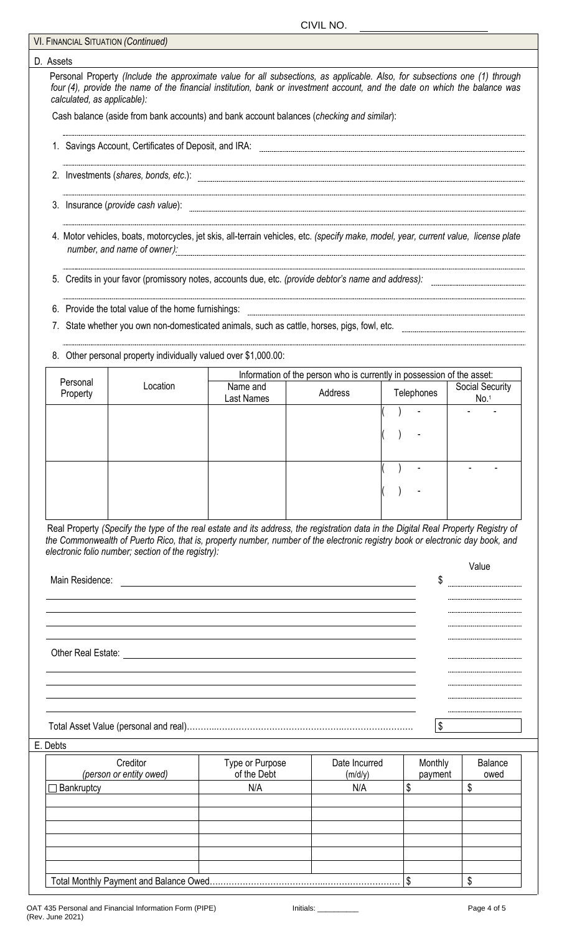#### CIVIL NO.

|                             | <b>VI. FINANCIAL SITUATION (Continued)</b>                                                                                                                                                                                                                                                                                |                    |                                                                        |               |                                     |
|-----------------------------|---------------------------------------------------------------------------------------------------------------------------------------------------------------------------------------------------------------------------------------------------------------------------------------------------------------------------|--------------------|------------------------------------------------------------------------|---------------|-------------------------------------|
| D. Assets                   |                                                                                                                                                                                                                                                                                                                           |                    |                                                                        |               |                                     |
| calculated, as applicable): | Personal Property (Include the approximate value for all subsections, as applicable. Also, for subsections one (1) through<br>four (4), provide the name of the financial institution, bank or investment account, and the date on which the balance was                                                                  |                    |                                                                        |               |                                     |
|                             | Cash balance (aside from bank accounts) and bank account balances (checking and similar):                                                                                                                                                                                                                                 |                    |                                                                        |               |                                     |
|                             | 1. Savings Account, Certificates of Deposit, and IRA:                                                                                                                                                                                                                                                                     |                    |                                                                        |               |                                     |
|                             |                                                                                                                                                                                                                                                                                                                           |                    |                                                                        |               |                                     |
|                             | 3. Insurance (provide cash value):                                                                                                                                                                                                                                                                                        |                    |                                                                        |               |                                     |
|                             | 4. Motor vehicles, boats, motorcycles, jet skis, all-terrain vehicles, etc. (specify make, model, year, current value, license plate<br>number, and name of owner):                                                                                                                                                       |                    |                                                                        |               |                                     |
|                             | 5. Credits in your favor (promissory notes, accounts due, etc. (provide debtor's name and address):                                                                                                                                                                                                                       |                    |                                                                        |               |                                     |
|                             | 6. Provide the total value of the home furnishings:                                                                                                                                                                                                                                                                       |                    |                                                                        |               |                                     |
| 7.                          | State whether you own non-domesticated animals, such as cattle, horses, pigs, fowl, etc.                                                                                                                                                                                                                                  |                    |                                                                        |               |                                     |
|                             | 8. Other personal property individually valued over \$1,000.00:                                                                                                                                                                                                                                                           |                    |                                                                        |               |                                     |
| Personal                    | Location                                                                                                                                                                                                                                                                                                                  | Name and           | Information of the person who is currently in possession of the asset: |               |                                     |
| Property                    |                                                                                                                                                                                                                                                                                                                           | Last Names         | Address                                                                | Telephones    | Social Security<br>No. <sup>1</sup> |
|                             |                                                                                                                                                                                                                                                                                                                           |                    |                                                                        |               |                                     |
|                             |                                                                                                                                                                                                                                                                                                                           |                    |                                                                        |               |                                     |
|                             |                                                                                                                                                                                                                                                                                                                           |                    |                                                                        |               |                                     |
|                             |                                                                                                                                                                                                                                                                                                                           |                    |                                                                        |               |                                     |
|                             | Real Property (Specify the type of the real estate and its address, the registration data in the Digital Real Property Registry of<br>the Commonwealth of Puerto Rico, that is, property number, number of the electronic registry book or electronic day book, and<br>electronic folio number; section of the registry): |                    |                                                                        |               |                                     |
| Main Residence:             |                                                                                                                                                                                                                                                                                                                           |                    |                                                                        | \$            | Value                               |
|                             |                                                                                                                                                                                                                                                                                                                           |                    |                                                                        |               |                                     |
|                             |                                                                                                                                                                                                                                                                                                                           |                    |                                                                        |               |                                     |
|                             |                                                                                                                                                                                                                                                                                                                           |                    |                                                                        |               |                                     |
|                             |                                                                                                                                                                                                                                                                                                                           |                    |                                                                        |               |                                     |
|                             |                                                                                                                                                                                                                                                                                                                           |                    |                                                                        |               |                                     |
|                             |                                                                                                                                                                                                                                                                                                                           |                    |                                                                        | \$            |                                     |
| E. Debts                    |                                                                                                                                                                                                                                                                                                                           |                    |                                                                        |               |                                     |
|                             | Creditor                                                                                                                                                                                                                                                                                                                  | Type or Purpose    | Date Incurred                                                          | Monthly       | <b>Balance</b>                      |
| Bankruptcy                  | (person or entity owed)                                                                                                                                                                                                                                                                                                   | of the Debt<br>N/A | (m/d/y)<br>N/A                                                         | payment<br>\$ | owed<br>\$                          |
|                             |                                                                                                                                                                                                                                                                                                                           |                    |                                                                        |               |                                     |
|                             |                                                                                                                                                                                                                                                                                                                           |                    |                                                                        |               |                                     |
|                             |                                                                                                                                                                                                                                                                                                                           |                    |                                                                        |               |                                     |
|                             |                                                                                                                                                                                                                                                                                                                           |                    |                                                                        |               |                                     |
|                             |                                                                                                                                                                                                                                                                                                                           |                    |                                                                        |               |                                     |
|                             | Total Monthly Payment and Balance Owed                                                                                                                                                                                                                                                                                    |                    |                                                                        | \$            | \$                                  |